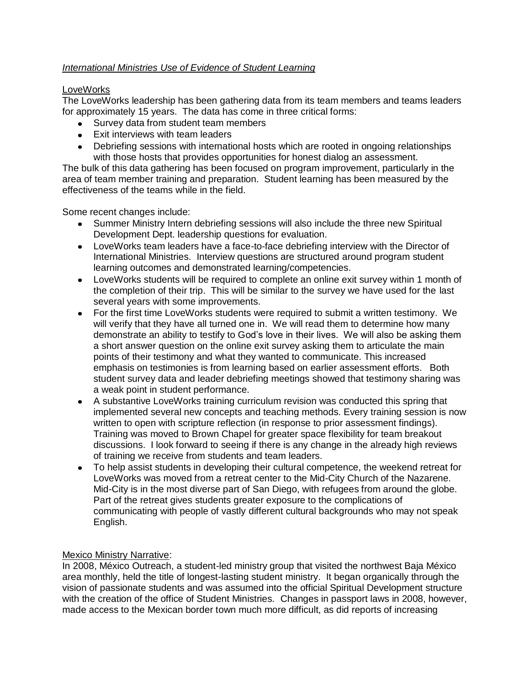## *International Ministries Use of Evidence of Student Learning*

## **LoveWorks**

The LoveWorks leadership has been gathering data from its team members and teams leaders for approximately 15 years. The data has come in three critical forms:

- Survey data from student team members
- Exit interviews with team leaders
- Debriefing sessions with international hosts which are rooted in ongoing relationships with those hosts that provides opportunities for honest dialog an assessment.

The bulk of this data gathering has been focused on program improvement, particularly in the area of team member training and preparation. Student learning has been measured by the effectiveness of the teams while in the field.

Some recent changes include:

- Summer Ministry Intern debriefing sessions will also include the three new Spiritual Development Dept. leadership questions for evaluation.
- LoveWorks team leaders have a face-to-face debriefing interview with the Director of International Ministries. Interview questions are structured around program student learning outcomes and demonstrated learning/competencies.
- LoveWorks students will be required to complete an online exit survey within 1 month of the completion of their trip. This will be similar to the survey we have used for the last several years with some improvements.
- For the first time LoveWorks students were required to submit a written testimony. We will verify that they have all turned one in. We will read them to determine how many demonstrate an ability to testify to God's love in their lives. We will also be asking them a short answer question on the online exit survey asking them to articulate the main points of their testimony and what they wanted to communicate. This increased emphasis on testimonies is from learning based on earlier assessment efforts. Both student survey data and leader debriefing meetings showed that testimony sharing was a weak point in student performance.
- A substantive LoveWorks training curriculum revision was conducted this spring that implemented several new concepts and teaching methods. Every training session is now written to open with scripture reflection (in response to prior assessment findings). Training was moved to Brown Chapel for greater space flexibility for team breakout discussions. I look forward to seeing if there is any change in the already high reviews of training we receive from students and team leaders.
- To help assist students in developing their cultural competence, the weekend retreat for LoveWorks was moved from a retreat center to the Mid-City Church of the Nazarene. Mid-City is in the most diverse part of San Diego, with refugees from around the globe. Part of the retreat gives students greater exposure to the complications of communicating with people of vastly different cultural backgrounds who may not speak English.

## Mexico Ministry Narrative:

In 2008, México Outreach, a student-led ministry group that visited the northwest Baja México area monthly, held the title of longest-lasting student ministry. It began organically through the vision of passionate students and was assumed into the official Spiritual Development structure with the creation of the office of Student Ministries. Changes in passport laws in 2008, however, made access to the Mexican border town much more difficult, as did reports of increasing